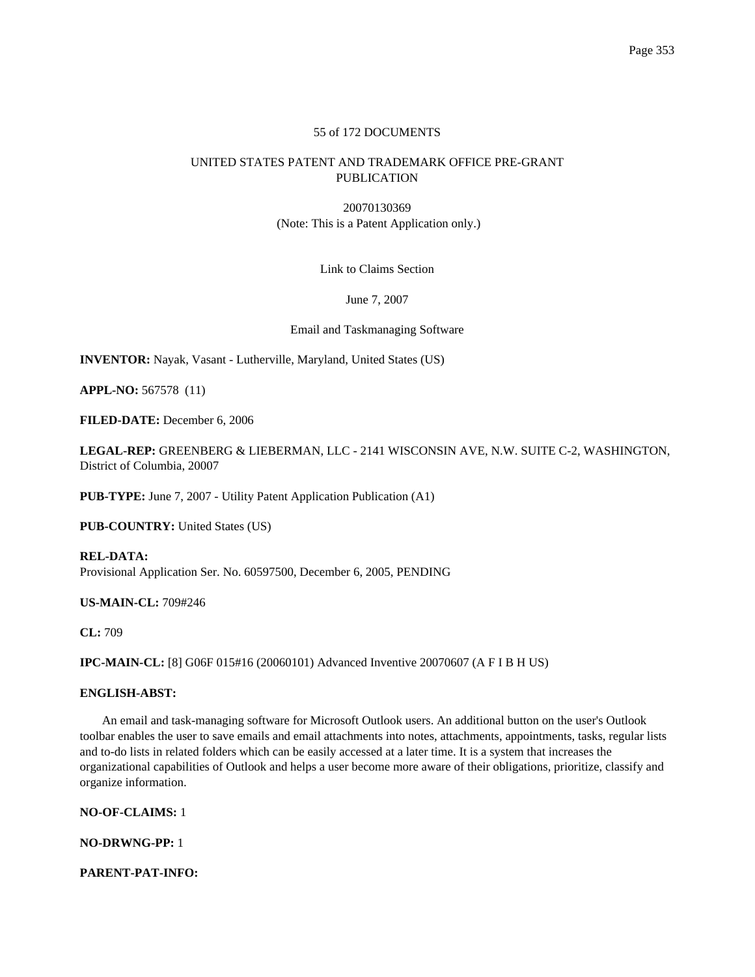## 55 of 172 DOCUMENTS

# UNITED STATES PATENT AND TRADEMARK OFFICE PRE-GRANT PUBLICATION

20070130369 (Note: This is a Patent Application only.)

Link to Claims Section

June 7, 2007

Email and Taskmanaging Software

**INVENTOR:** Nayak, Vasant - Lutherville, Maryland, United States (US)

**APPL-NO:** 567578 (11)

**FILED-DATE:** December 6, 2006

**LEGAL-REP:** GREENBERG & LIEBERMAN, LLC - 2141 WISCONSIN AVE, N.W. SUITE C-2, WASHINGTON, District of Columbia, 20007

**PUB-TYPE:** June 7, 2007 - Utility Patent Application Publication (A1)

**PUB-COUNTRY:** United States (US)

**REL-DATA:** Provisional Application Ser. No. 60597500, December 6, 2005, PENDING

**US-MAIN-CL:** 709#246

**CL:** 709

**IPC-MAIN-CL:** [8] G06F 015#16 (20060101) Advanced Inventive 20070607 (A F I B H US)

## **ENGLISH-ABST:**

An email and task-managing software for Microsoft Outlook users. An additional button on the user's Outlook toolbar enables the user to save emails and email attachments into notes, attachments, appointments, tasks, regular lists and to-do lists in related folders which can be easily accessed at a later time. It is a system that increases the organizational capabilities of Outlook and helps a user become more aware of their obligations, prioritize, classify and organize information.

**NO-OF-CLAIMS:** 1

**NO-DRWNG-PP:** 1

**PARENT-PAT-INFO:**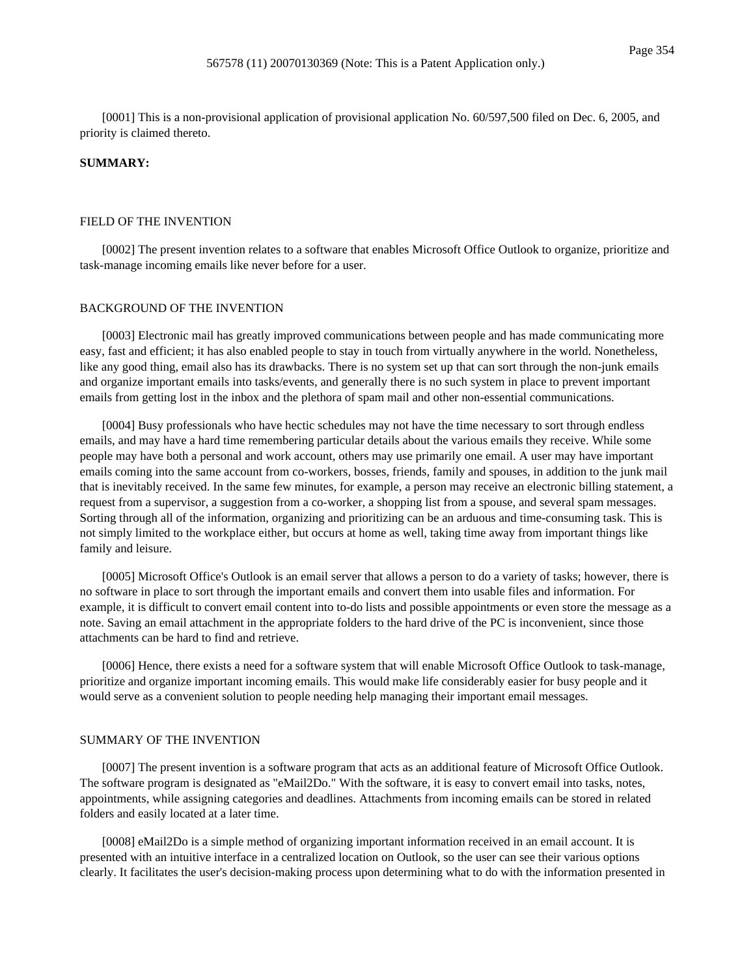[0001] This is a non-provisional application of provisional application No. 60/597,500 filed on Dec. 6, 2005, and priority is claimed thereto.

## **SUMMARY:**

#### FIELD OF THE INVENTION

[0002] The present invention relates to a software that enables Microsoft Office Outlook to organize, prioritize and task-manage incoming emails like never before for a user.

### BACKGROUND OF THE INVENTION

[0003] Electronic mail has greatly improved communications between people and has made communicating more easy, fast and efficient; it has also enabled people to stay in touch from virtually anywhere in the world. Nonetheless, like any good thing, email also has its drawbacks. There is no system set up that can sort through the non-junk emails and organize important emails into tasks/events, and generally there is no such system in place to prevent important emails from getting lost in the inbox and the plethora of spam mail and other non-essential communications.

[0004] Busy professionals who have hectic schedules may not have the time necessary to sort through endless emails, and may have a hard time remembering particular details about the various emails they receive. While some people may have both a personal and work account, others may use primarily one email. A user may have important emails coming into the same account from co-workers, bosses, friends, family and spouses, in addition to the junk mail that is inevitably received. In the same few minutes, for example, a person may receive an electronic billing statement, a request from a supervisor, a suggestion from a co-worker, a shopping list from a spouse, and several spam messages. Sorting through all of the information, organizing and prioritizing can be an arduous and time-consuming task. This is not simply limited to the workplace either, but occurs at home as well, taking time away from important things like family and leisure.

[0005] Microsoft Office's Outlook is an email server that allows a person to do a variety of tasks; however, there is no software in place to sort through the important emails and convert them into usable files and information. For example, it is difficult to convert email content into to-do lists and possible appointments or even store the message as a note. Saving an email attachment in the appropriate folders to the hard drive of the PC is inconvenient, since those attachments can be hard to find and retrieve.

[0006] Hence, there exists a need for a software system that will enable Microsoft Office Outlook to task-manage, prioritize and organize important incoming emails. This would make life considerably easier for busy people and it would serve as a convenient solution to people needing help managing their important email messages.

#### SUMMARY OF THE INVENTION

[0007] The present invention is a software program that acts as an additional feature of Microsoft Office Outlook. The software program is designated as "eMail2Do." With the software, it is easy to convert email into tasks, notes, appointments, while assigning categories and deadlines. Attachments from incoming emails can be stored in related folders and easily located at a later time.

[0008] eMail2Do is a simple method of organizing important information received in an email account. It is presented with an intuitive interface in a centralized location on Outlook, so the user can see their various options clearly. It facilitates the user's decision-making process upon determining what to do with the information presented in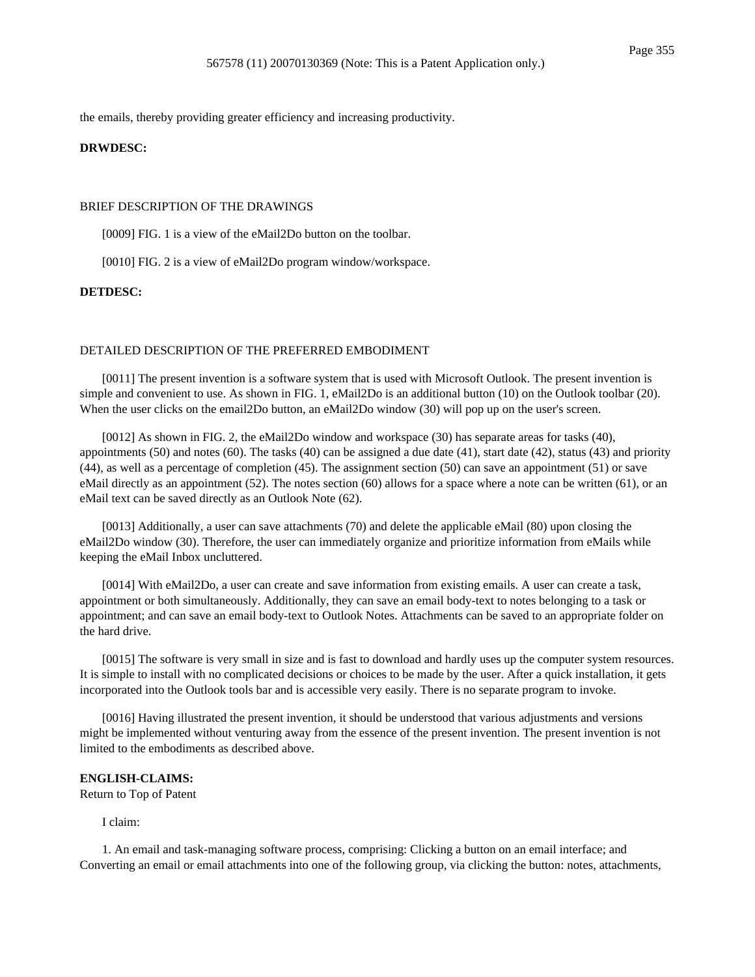the emails, thereby providing greater efficiency and increasing productivity.

### **DRWDESC:**

## BRIEF DESCRIPTION OF THE DRAWINGS

[0009] FIG. 1 is a view of the eMail2Do button on the toolbar.

[0010] FIG. 2 is a view of eMail2Do program window/workspace.

## **DETDESC:**

#### DETAILED DESCRIPTION OF THE PREFERRED EMBODIMENT

[0011] The present invention is a software system that is used with Microsoft Outlook. The present invention is simple and convenient to use. As shown in FIG. 1, eMail2Do is an additional button (10) on the Outlook toolbar (20). When the user clicks on the email2Do button, an eMail2Do window (30) will pop up on the user's screen.

[0012] As shown in FIG. 2, the eMail2Do window and workspace (30) has separate areas for tasks (40), appointments  $(50)$  and notes  $(60)$ . The tasks  $(40)$  can be assigned a due date  $(41)$ , start date  $(42)$ , status  $(43)$  and priority (44), as well as a percentage of completion (45). The assignment section (50) can save an appointment (51) or save eMail directly as an appointment (52). The notes section (60) allows for a space where a note can be written (61), or an eMail text can be saved directly as an Outlook Note (62).

[0013] Additionally, a user can save attachments (70) and delete the applicable eMail (80) upon closing the eMail2Do window (30). Therefore, the user can immediately organize and prioritize information from eMails while keeping the eMail Inbox uncluttered.

[0014] With eMail2Do, a user can create and save information from existing emails. A user can create a task, appointment or both simultaneously. Additionally, they can save an email body-text to notes belonging to a task or appointment; and can save an email body-text to Outlook Notes. Attachments can be saved to an appropriate folder on the hard drive.

[0015] The software is very small in size and is fast to download and hardly uses up the computer system resources. It is simple to install with no complicated decisions or choices to be made by the user. After a quick installation, it gets incorporated into the Outlook tools bar and is accessible very easily. There is no separate program to invoke.

[0016] Having illustrated the present invention, it should be understood that various adjustments and versions might be implemented without venturing away from the essence of the present invention. The present invention is not limited to the embodiments as described above.

#### **ENGLISH-CLAIMS:**

Return to Top of Patent

I claim:

1. An email and task-managing software process, comprising: Clicking a button on an email interface; and Converting an email or email attachments into one of the following group, via clicking the button: notes, attachments,